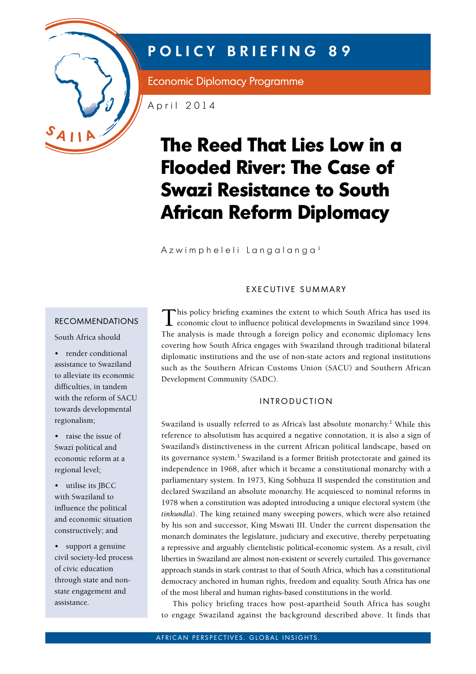

# **POLICY BRIEFING 89**

Economic Diplomacy Programme

April 2014

# **The Reed That Lies Low in a Flooded River: The Case of Swazi Resistance to South African Reform Diplomacy**

Azwimpheleli Langalanga<sup>1</sup>

#### EXECUTIVE SUMMARY

#### recommendations

South Africa should

- • render conditional assistance to Swaziland to alleviate its economic difficulties, in tandem with the reform of SACU towards developmental regionalism;
- • raise the issue of Swazi political and economic reform at a regional level;
- utilise its JBCC with Swaziland to influence the political and economic situation constructively; and
- support a genuine civil society-led process of civic education through state and nonstate engagement and assistance.

This policy briefing examines the extent to which South Africa has used its  $\perp$  economic clout to influence political developments in Swaziland since 1994. The analysis is made through a foreign policy and economic diplomacy lens covering how South Africa engages with Swaziland through traditional bilateral diplomatic institutions and the use of non-state actors and regional institutions such as the Southern African Customs Union (SACU) and Southern African Development Community (SADC).

#### **INTRODUCTION**

Swaziland is usually referred to as Africa's last absolute monarchy.<sup>2</sup> While this reference to absolutism has acquired a negative connotation, it is also a sign of Swaziland's distinctiveness in the current African political landscape, based on its governance system.<sup>3</sup> Swaziland is a former British protectorate and gained its independence in 1968, after which it became a constitutional monarchy with a parliamentary system. In 1973, King Sobhuza II suspended the constitution and declared Swaziland an absolute monarchy. He acquiesced to nominal reforms in 1978 when a constitution was adopted introducing a unique electoral system (the *tinkundla*). The king retained many sweeping powers, which were also retained by his son and successor, King Mswati III. Under the current dispensation the monarch dominates the legislature, judiciary and executive, thereby perpetuating a repressive and arguably clientelistic political-economic system. As a result, civil liberties in Swaziland are almost non-existent or severely curtailed. This governance approach stands in stark contrast to that of South Africa, which has a constitutional democracy anchored in human rights, freedom and equality. South Africa has one of the most liberal and human rights-based constitutions in the world.

This policy briefing traces how post-apartheid South Africa has sought to engage Swaziland against the background described above. It finds that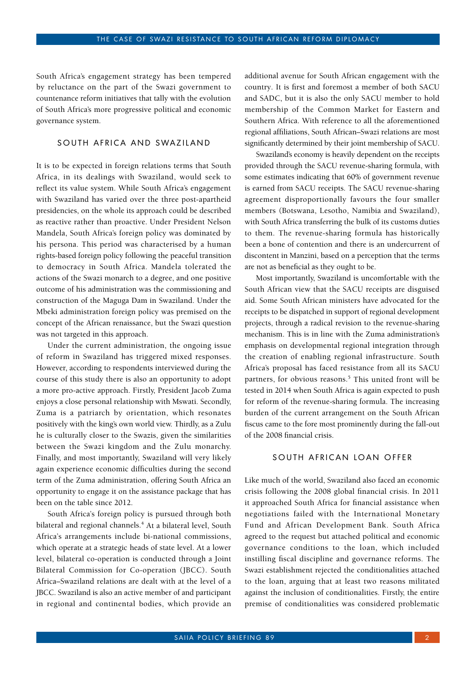South Africa's engagement strategy has been tempered by reluctance on the part of the Swazi government to countenance reform initiatives that tally with the evolution of South Africa's more progressive political and economic governance system.

## SOUTH AFRICA AND SWAZILAND

It is to be expected in foreign relations terms that South Africa, in its dealings with Swaziland, would seek to reflect its value system. While South Africa's engagement with Swaziland has varied over the three post-apartheid presidencies, on the whole its approach could be described as reactive rather than proactive. Under President Nelson Mandela, South Africa's foreign policy was dominated by his persona. This period was characterised by a human rights-based foreign policy following the peaceful transition to democracy in South Africa. Mandela tolerated the actions of the Swazi monarch to a degree, and one positive outcome of his administration was the commissioning and construction of the Maguga Dam in Swaziland. Under the Mbeki administration foreign policy was premised on the concept of the African renaissance, but the Swazi question was not targeted in this approach.

Under the current administration, the ongoing issue of reform in Swaziland has triggered mixed responses. However, according to respondents interviewed during the course of this study there is also an opportunity to adopt a more pro-active approach. Firstly, President Jacob Zuma enjoys a close personal relationship with Mswati. Secondly, Zuma is a patriarch by orientation, which resonates positively with the king's own world view. Thirdly, as a Zulu he is culturally closer to the Swazis, given the similarities between the Swazi kingdom and the Zulu monarchy. Finally, and most importantly, Swaziland will very likely again experience economic difficulties during the second term of the Zuma administration, offering South Africa an opportunity to engage it on the assistance package that has been on the table since 2012.

South Africa's foreign policy is pursued through both bilateral and regional channels.<sup>4</sup> At a bilateral level, South Africa's arrangements include bi-national commissions, which operate at a strategic heads of state level. At a lower level, bilateral co-operation is conducted through a Joint Bilateral Commission for Co-operation (JBCC). South Africa–Swaziland relations are dealt with at the level of a JBCC. Swaziland is also an active member of and participant in regional and continental bodies, which provide an

additional avenue for South African engagement with the country. It is first and foremost a member of both SACU and SADC, but it is also the only SACU member to hold membership of the Common Market for Eastern and Southern Africa. With reference to all the aforementioned regional affiliations, South African–Swazi relations are most significantly determined by their joint membership of SACU.

Swaziland's economy is heavily dependent on the receipts provided through the SACU revenue-sharing formula, with some estimates indicating that 60% of government revenue is earned from SACU receipts. The SACU revenue-sharing agreement disproportionally favours the four smaller members (Botswana, Lesotho, Namibia and Swaziland), with South Africa transferring the bulk of its customs duties to them. The revenue-sharing formula has historically been a bone of contention and there is an undercurrent of discontent in Manzini, based on a perception that the terms are not as beneficial as they ought to be.

Most importantly, Swaziland is uncomfortable with the South African view that the SACU receipts are disguised aid. Some South African ministers have advocated for the receipts to be dispatched in support of regional development projects, through a radical revision to the revenue-sharing mechanism. This is in line with the Zuma administration's emphasis on developmental regional integration through the creation of enabling regional infrastructure. South Africa's proposal has faced resistance from all its SACU partners, for obvious reasons.<sup>5</sup> This united front will be tested in 2014 when South Africa is again expected to push for reform of the revenue-sharing formula. The increasing burden of the current arrangement on the South African fiscus came to the fore most prominently during the fall-out of the 2008 financial crisis.

#### SOUTH AFRICAN LOAN OFFER

Like much of the world, Swaziland also faced an economic crisis following the 2008 global financial crisis. In 2011 it approached South Africa for financial assistance when negotiations failed with the International Monetary Fund and African Development Bank. South Africa agreed to the request but attached political and economic governance conditions to the loan, which included instilling fiscal discipline and governance reforms. The Swazi establishment rejected the conditionalities attached to the loan, arguing that at least two reasons militated against the inclusion of conditionalities. Firstly, the entire premise of conditionalities was considered problematic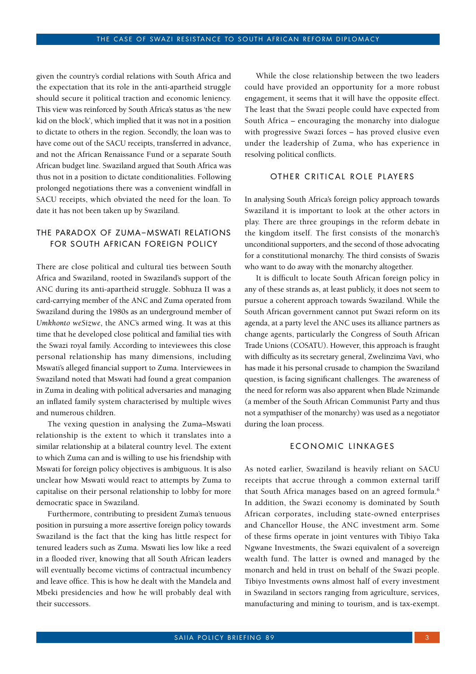given the country's cordial relations with South Africa and the expectation that its role in the anti-apartheid struggle should secure it political traction and economic leniency. This view was reinforced by South Africa's status as 'the new kid on the block', which implied that it was not in a position to dictate to others in the region. Secondly, the loan was to have come out of the SACU receipts, transferred in advance, and not the African Renaissance Fund or a separate South African budget line. Swaziland argued that South Africa was thus not in a position to dictate conditionalities. Following prolonged negotiations there was a convenient windfall in SACU receipts, which obviated the need for the loan. To date it has not been taken up by Swaziland.

## THE PARADOX OF ZUMA-MSWATI RELATIONS FOR SOUTH AFRICAN FOREIGN POLICY

There are close political and cultural ties between South Africa and Swaziland, rooted in Swaziland's support of the ANC during its anti-apartheid struggle. Sobhuza II was a card-carrying member of the ANC and Zuma operated from Swaziland during the 1980s as an underground member of *Umkhonto weSizwe*, the ANC's armed wing. It was at this time that he developed close political and familial ties with the Swazi royal family. According to inteviewees this close personal relationship has many dimensions, including Mswati's alleged financial support to Zuma. Interviewees in Swaziland noted that Mswati had found a great companion in Zuma in dealing with political adversaries and managing an inflated family system characterised by multiple wives and numerous children.

The vexing question in analysing the Zuma–Mswati relationship is the extent to which it translates into a similar relationship at a bilateral country level. The extent to which Zuma can and is willing to use his friendship with Mswati for foreign policy objectives is ambiguous. It is also unclear how Mswati would react to attempts by Zuma to capitalise on their personal relationship to lobby for more democratic space in Swaziland.

Furthermore, contributing to president Zuma's tenuous position in pursuing a more assertive foreign policy towards Swaziland is the fact that the king has little respect for tenured leaders such as Zuma. Mswati lies low like a reed in a flooded river, knowing that all South African leaders will eventually become victims of contractual incumbency and leave office. This is how he dealt with the Mandela and Mbeki presidencies and how he will probably deal with their successors.

While the close relationship between the two leaders could have provided an opportunity for a more robust engagement, it seems that it will have the opposite effect. The least that the Swazi people could have expected from South Africa – encouraging the monarchy into dialogue with progressive Swazi forces – has proved elusive even under the leadership of Zuma, who has experience in resolving political conflicts.

#### OTHER CRITICAL ROLE PLAYERS

In analysing South Africa's foreign policy approach towards Swaziland it is important to look at the other actors in play. There are three groupings in the reform debate in the kingdom itself. The first consists of the monarch's unconditional supporters, and the second of those advocating for a constitutional monarchy. The third consists of Swazis who want to do away with the monarchy altogether.

It is difficult to locate South African foreign policy in any of these strands as, at least publicly, it does not seem to pursue a coherent approach towards Swaziland. While the South African government cannot put Swazi reform on its agenda, at a party level the ANC uses its alliance partners as change agents, particularly the Congress of South African Trade Unions (COSATU). However, this approach is fraught with difficulty as its secretary general, Zwelinzima Vavi, who has made it his personal crusade to champion the Swaziland question, is facing significant challenges. The awareness of the need for reform was also apparent when Blade Nzimande (a member of the South African Communist Party and thus not a sympathiser of the monarchy) was used as a negotiator during the loan process.

#### E CONOMIC LINKAGES

As noted earlier, Swaziland is heavily reliant on SACU receipts that accrue through a common external tariff that South Africa manages based on an agreed formula.<sup>6</sup> In addition, the Swazi economy is dominated by South African corporates, including state-owned enterprises and Chancellor House, the ANC investment arm. Some of these firms operate in joint ventures with Tibiyo Taka Ngwane Investments, the Swazi equivalent of a sovereign wealth fund. The latter is owned and managed by the monarch and held in trust on behalf of the Swazi people. Tibiyo Investments owns almost half of every investment in Swaziland in sectors ranging from agriculture, services, manufacturing and mining to tourism, and is tax-exempt.